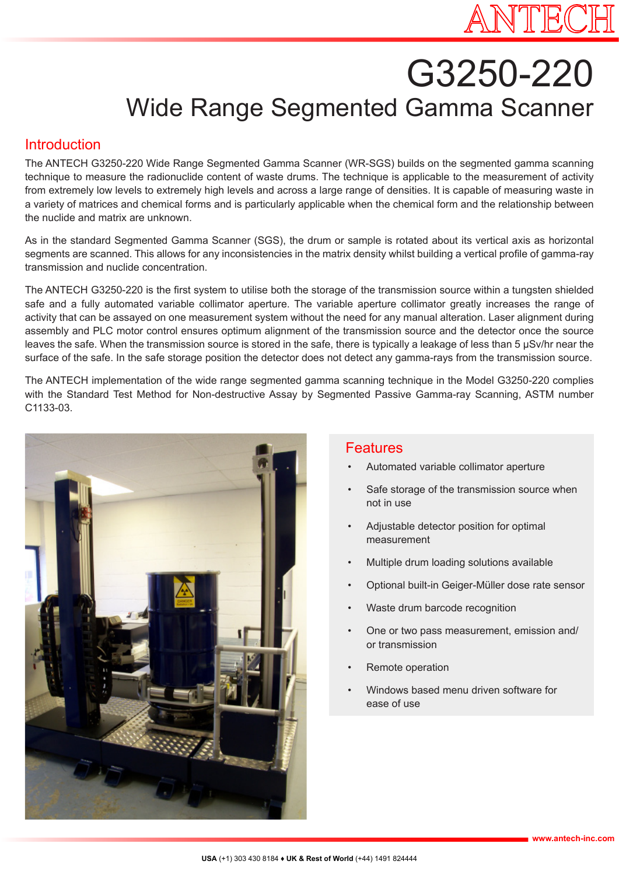# G3250-220 Wide Range Segmented Gamma Scanner

#### **Introduction**

The ANTECH G3250-220 Wide Range Segmented Gamma Scanner (WR-SGS) builds on the segmented gamma scanning technique to measure the radionuclide content of waste drums. The technique is applicable to the measurement of activity from extremely low levels to extremely high levels and across a large range of densities. It is capable of measuring waste in a variety of matrices and chemical forms and is particularly applicable when the chemical form and the relationship between the nuclide and matrix are unknown.

As in the standard Segmented Gamma Scanner (SGS), the drum or sample is rotated about its vertical axis as horizontal segments are scanned. This allows for any inconsistencies in the matrix density whilst building a vertical profile of gamma-ray transmission and nuclide concentration.

The ANTECH G3250-220 is the first system to utilise both the storage of the transmission source within a tungsten shielded safe and a fully automated variable collimator aperture. The variable aperture collimator greatly increases the range of activity that can be assayed on one measurement system without the need for any manual alteration. Laser alignment during assembly and PLC motor control ensures optimum alignment of the transmission source and the detector once the source leaves the safe. When the transmission source is stored in the safe, there is typically a leakage of less than 5 µSv/hr near the surface of the safe. In the safe storage position the detector does not detect any gamma-rays from the transmission source.

The ANTECH implementation of the wide range segmented gamma scanning technique in the Model G3250-220 complies with the Standard Test Method for Non-destructive Assay by Segmented Passive Gamma-ray Scanning, ASTM number C1133-03.



### Features

- Automated variable collimator aperture
- Safe storage of the transmission source when not in use
- Adjustable detector position for optimal measurement
- Multiple drum loading solutions available
- Optional built-in Geiger-Müller dose rate sensor
- Waste drum barcode recognition
- One or two pass measurement, emission and/ or transmission
- Remote operation
- Windows based menu driven software for ease of use